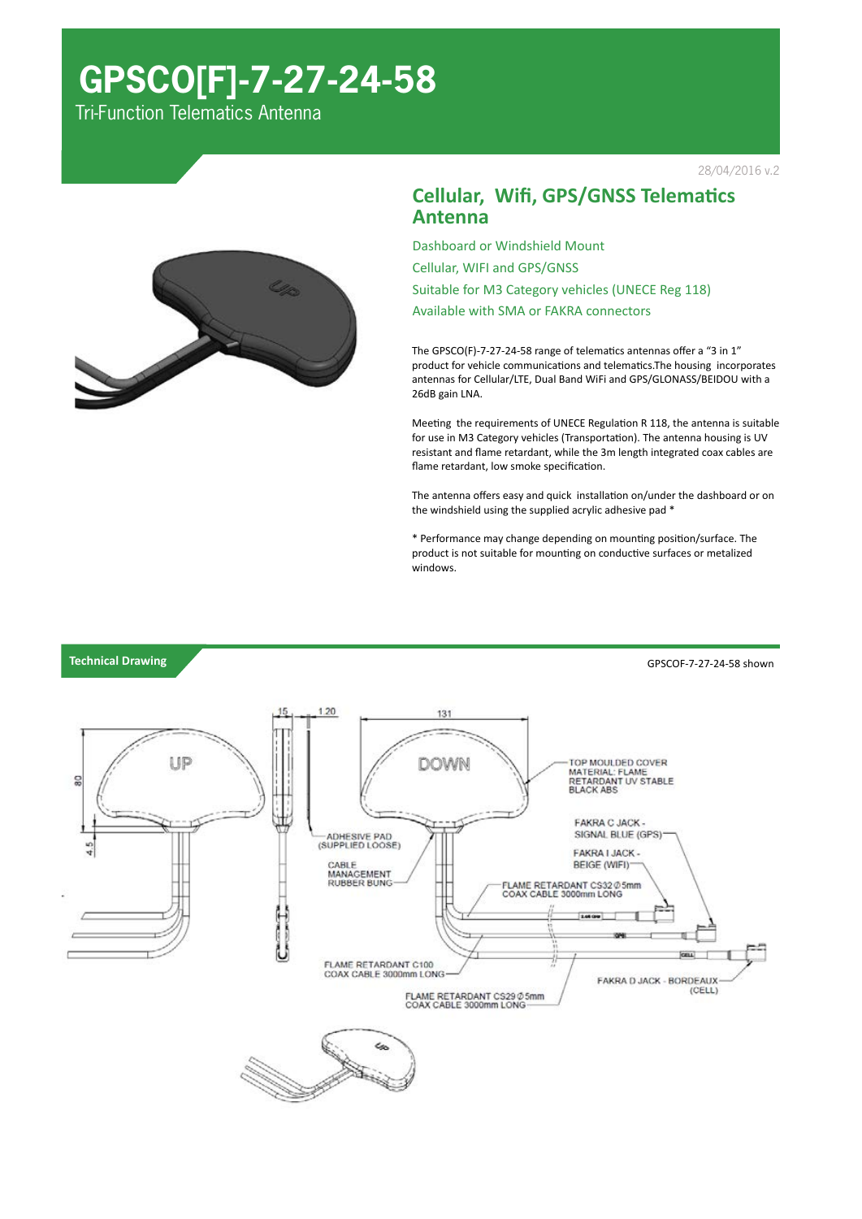## **GPSCO[F]-7-27-24-58**

Tri-Function Telematics Antenna





Dashboard or Windshield Mount Cellular, WIFI and GPS/GNSS Suitable for M3 Category vehicles (UNECE Reg 118) Available with SMA or FAKRA connectors

The GPSCO(F)-7-27-24-58 range of telematics antennas offer a "3 in 1" product for vehicle communications and telematics.The housing incorporates antennas for Cellular/LTE, Dual Band WiFi and GPS/GLONASS/BEIDOU with a 26dB gain LNA.

Meeting the requirements of UNECE Regulation R 118, the antenna is suitable for use in M3 Category vehicles (Transportation). The antenna housing is UV resistant and flame retardant, while the 3m length integrated coax cables are flame retardant, low smoke specification.

The antenna offers easy and quick installation on/under the dashboard or on the windshield using the supplied acrylic adhesive pad \*

\* Performance may change depending on mounting position/surface. The product is not suitable for mounting on conductive surfaces or metalized windows.

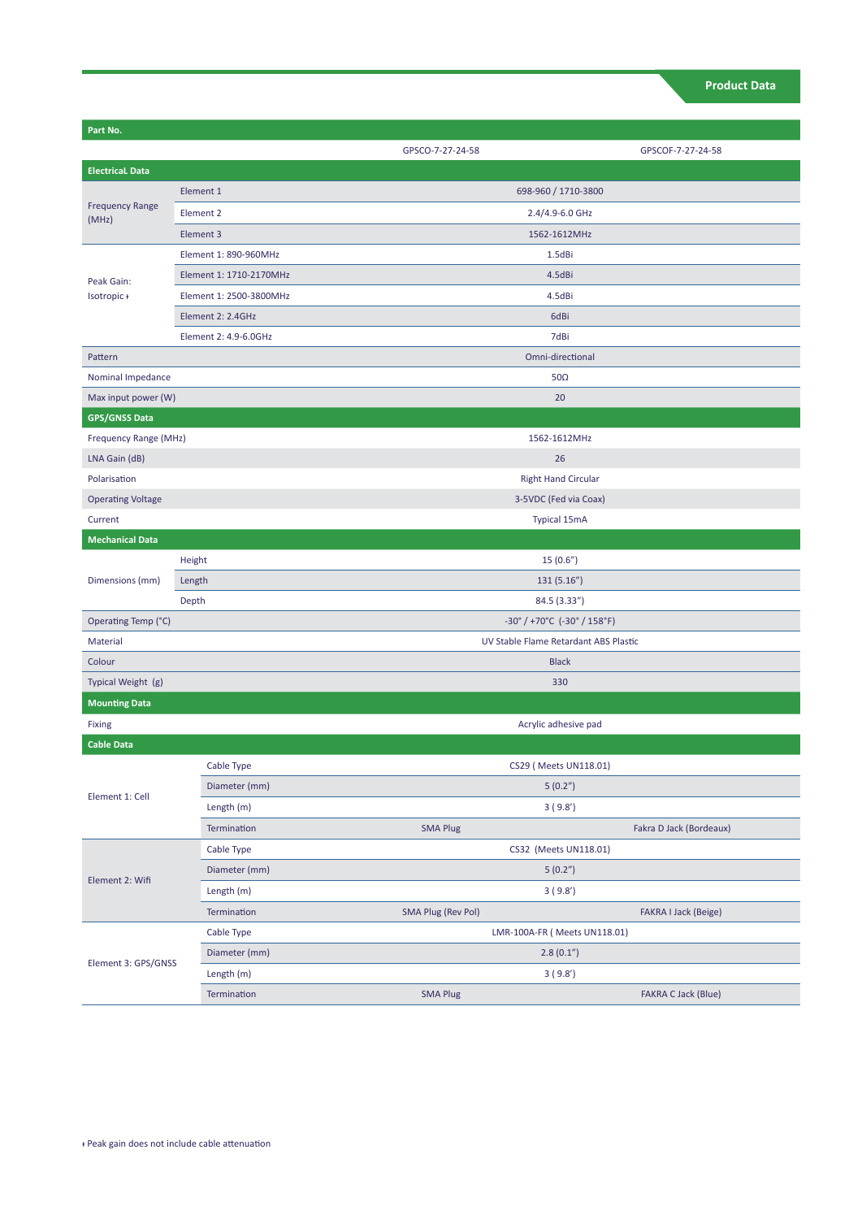| Part No.                        |                         |                           |                                                                      |  |
|---------------------------------|-------------------------|---------------------------|----------------------------------------------------------------------|--|
|                                 |                         | GPSCO-7-27-24-58          | GPSCOF-7-27-24-58                                                    |  |
| <b>Electrical Data</b>          |                         |                           |                                                                      |  |
| <b>Frequency Range</b><br>(MHz) | Element 1               |                           | 698-960 / 1710-3800                                                  |  |
|                                 | Element 2               |                           | 2.4/4.9-6.0 GHz                                                      |  |
|                                 | Element 3               |                           | 1562-1612MHz                                                         |  |
| Peak Gain:<br>Isotropic+        | Element 1: 890-960MHz   |                           | 1.5dBi                                                               |  |
|                                 | Element 1: 1710-2170MHz |                           | 4.5dBi                                                               |  |
|                                 | Element 1: 2500-3800MHz |                           | 4.5dBi                                                               |  |
|                                 | Element 2: 2.4GHz       | 6dBi                      |                                                                      |  |
|                                 | Element 2: 4.9-6.0GHz   |                           | 7dBi                                                                 |  |
| Pattern                         |                         |                           | Omni-directional                                                     |  |
| Nominal Impedance               |                         | $50\Omega$                |                                                                      |  |
| Max input power (W)             |                         | 20                        |                                                                      |  |
| <b>GPS/GNSS Data</b>            |                         |                           |                                                                      |  |
| Frequency Range (MHz)           |                         |                           | 1562-1612MHz                                                         |  |
| LNA Gain (dB)                   |                         | 26                        |                                                                      |  |
| Polarisation                    |                         |                           | <b>Right Hand Circular</b>                                           |  |
| <b>Operating Voltage</b>        |                         |                           | 3-5VDC (Fed via Coax)                                                |  |
| Current                         |                         |                           | <b>Typical 15mA</b>                                                  |  |
| <b>Mechanical Data</b>          |                         |                           |                                                                      |  |
| Dimensions (mm)                 | Height                  | 15(0.6")                  |                                                                      |  |
|                                 | Length                  |                           | 131(5.16")                                                           |  |
|                                 | Depth                   |                           | 84.5 (3.33")                                                         |  |
| Operating Temp (°C)             |                         |                           | $-30^{\circ}$ / +70 $^{\circ}$ C (-30 $^{\circ}$ / 158 $^{\circ}$ F) |  |
| Material                        |                         |                           | UV Stable Flame Retardant ABS Plastic                                |  |
| Colour                          |                         |                           | <b>Black</b>                                                         |  |
| Typical Weight (g)              |                         | 330                       |                                                                      |  |
| <b>Mounting Data</b>            |                         |                           |                                                                      |  |
| Fixing                          |                         |                           | Acrylic adhesive pad                                                 |  |
| <b>Cable Data</b>               |                         |                           |                                                                      |  |
| Element 1: Cell                 | Cable Type              |                           | CS29 ( Meets UN118.01)                                               |  |
|                                 | Diameter (mm)           |                           | 5(0.2 <sup>''</sup> )                                                |  |
|                                 | Length (m)              |                           | 3(9.8')                                                              |  |
|                                 | Termination             | <b>SMA Plug</b>           | Fakra D Jack (Bordeaux)                                              |  |
| Element 2: Wifi                 | Cable Type              |                           | CS32 (Meets UN118.01)                                                |  |
|                                 | Diameter (mm)           | 5(0.2 <sup>''</sup> )     |                                                                      |  |
|                                 | Length (m)              |                           | 3(9.8')                                                              |  |
|                                 | Termination             | <b>SMA Plug (Rev Pol)</b> | <b>FAKRA I Jack (Beige)</b>                                          |  |
|                                 | Cable Type              |                           | LMR-100A-FR ( Meets UN118.01)                                        |  |
| Element 3: GPS/GNSS             | Diameter (mm)           |                           | 2.8(0.1 <sup>''</sup> )                                              |  |
|                                 | Length (m)              |                           | 3(9.8')                                                              |  |
|                                 | Termination             | <b>SMA Plug</b>           | <b>FAKRA C Jack (Blue)</b>                                           |  |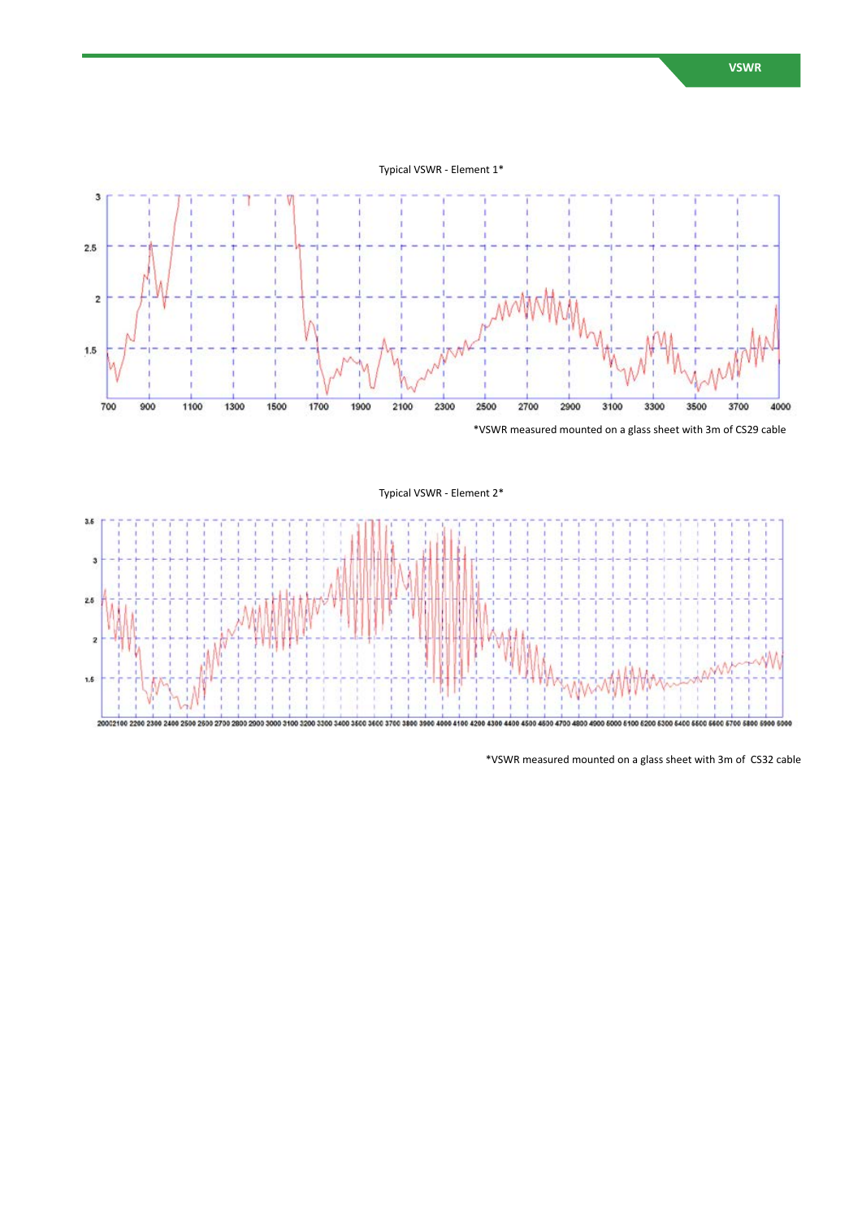Typical VSWR - Element 1\*







\*VSWR measured mounted on a glass sheet with 3m of CS32 cable